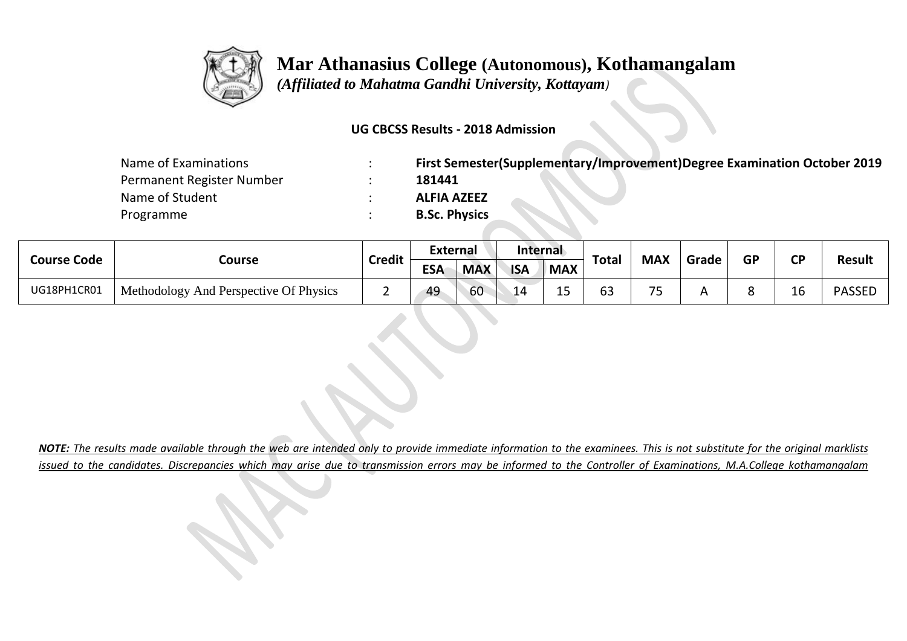

 *(Affiliated to Mahatma Gandhi University, Kottayam)*

#### **UG CBCSS Results - 2018 Admission**

| Name of Examinations      | First Semester(Supplementary/Improvement)Degree Examination October 2019 |
|---------------------------|--------------------------------------------------------------------------|
| Permanent Register Number | 181441                                                                   |
| Name of Student           | <b>ALFIA AZEEZ</b>                                                       |
| Programme                 | <b>B.Sc. Physics</b>                                                     |

| <b>Course Code</b> |                                        | <b>Credit</b> | <b>External</b> |            | Internal   |            |              | <b>MAX</b>                    | Grade | <b>GP</b> | σD | <b>Result</b> |
|--------------------|----------------------------------------|---------------|-----------------|------------|------------|------------|--------------|-------------------------------|-------|-----------|----|---------------|
|                    | Course                                 |               | <b>ESA</b>      | <b>MAX</b> | <b>ISA</b> | <b>MAX</b> | <b>Total</b> |                               |       |           |    |               |
| UG18PH1CR01        | Methodology And Perspective Of Physics |               | 49              | 60         | 14         | -<br>ᅩ     | 63           | $\overline{\phantom{a}}$<br>ັ |       |           | TO | <b>PASSED</b> |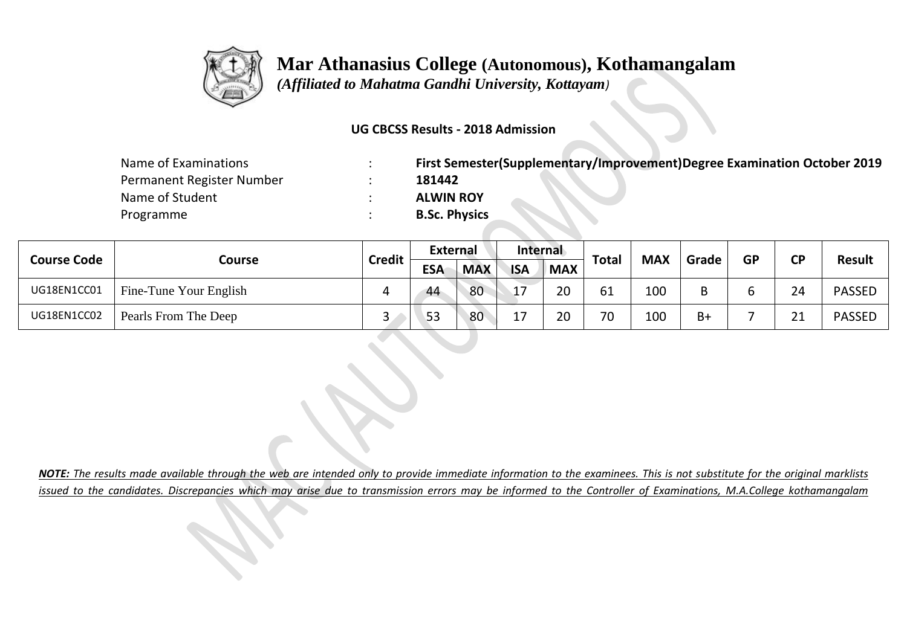

 *(Affiliated to Mahatma Gandhi University, Kottayam)*

#### **UG CBCSS Results - 2018 Admission**

| Name of Examinations      | First Semester(Supplementary/Improvement)Degree Examination October 2019 |
|---------------------------|--------------------------------------------------------------------------|
| Permanent Register Number | 181442                                                                   |
| Name of Student           | <b>ALWIN ROY</b>                                                         |
| Programme                 | <b>B.Sc. Physics</b>                                                     |

| <b>Course Code</b> | Course                 | <b>Credit</b> | <b>External</b> |            | Internal   |            | <b>Total</b> | <b>MAX</b> | Grade | <b>GP</b> | <b>CD</b> | <b>Result</b> |
|--------------------|------------------------|---------------|-----------------|------------|------------|------------|--------------|------------|-------|-----------|-----------|---------------|
|                    |                        |               | <b>ESA</b>      | <b>MAX</b> | <b>ISA</b> | <b>MAX</b> |              |            |       |           |           |               |
| UG18EN1CC01        | Fine-Tune Your English |               | 44              | 80         | 17         | 20         | 61           | 100        |       |           | 24        | <b>PASSED</b> |
| UG18EN1CC02        | Pearls From The Deep   | ∽             | 53              | 80         |            | 20         | 70           | 100        | $B+$  |           | ີ 1       | <b>PASSED</b> |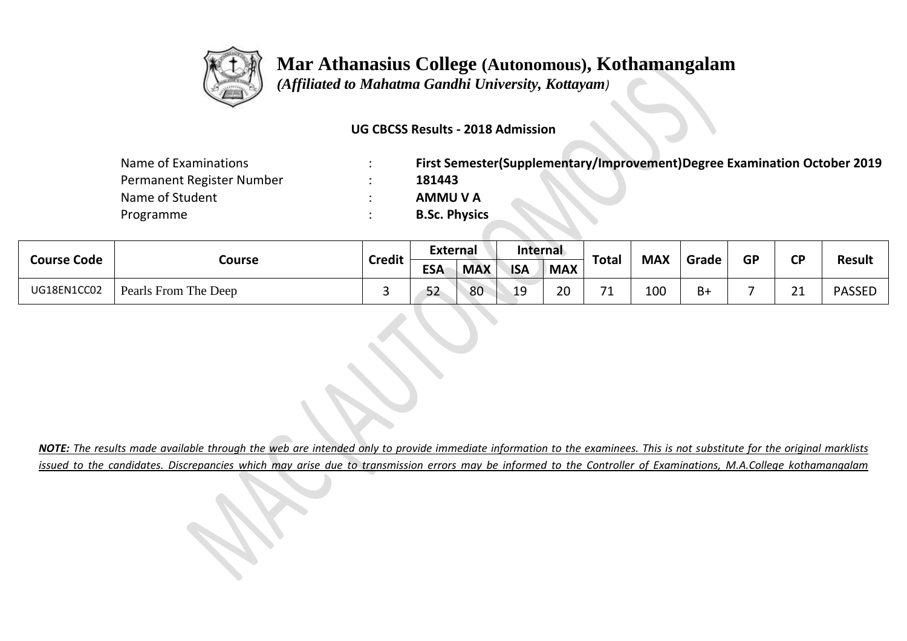

 *(Affiliated to Mahatma Gandhi University, Kottayam)*

#### **UG CBCSS Results - 2018 Admission**

| Name of Examinations      | First Semester(Supplementary/Improvement)Degree Examination October 2019 |
|---------------------------|--------------------------------------------------------------------------|
| Permanent Register Number | 181443                                                                   |
| Name of Student           | <b>AMMU V A</b>                                                          |
| Programme                 | <b>B.Sc. Physics</b>                                                     |

| <b>Course Code</b> | Course               | <b>Credit</b> | External   |            | Internal   |            | <b>Total</b> | <b>MAX</b> | Grade | <b>GP</b> | <b>CD</b>                  | <b>Result</b> |
|--------------------|----------------------|---------------|------------|------------|------------|------------|--------------|------------|-------|-----------|----------------------------|---------------|
|                    |                      |               | <b>ESA</b> | <b>MAX</b> | <b>ISA</b> | <b>MAX</b> |              |            |       |           |                            |               |
| UG18EN1CC02        | Pearls From The Deep |               | 52         | 80         | 19         | ാറ<br>∠∪   | 74<br>--     | 100        | $B+$  |           | $\mathbf{A}$<br><u>_ _</u> | <b>PASSED</b> |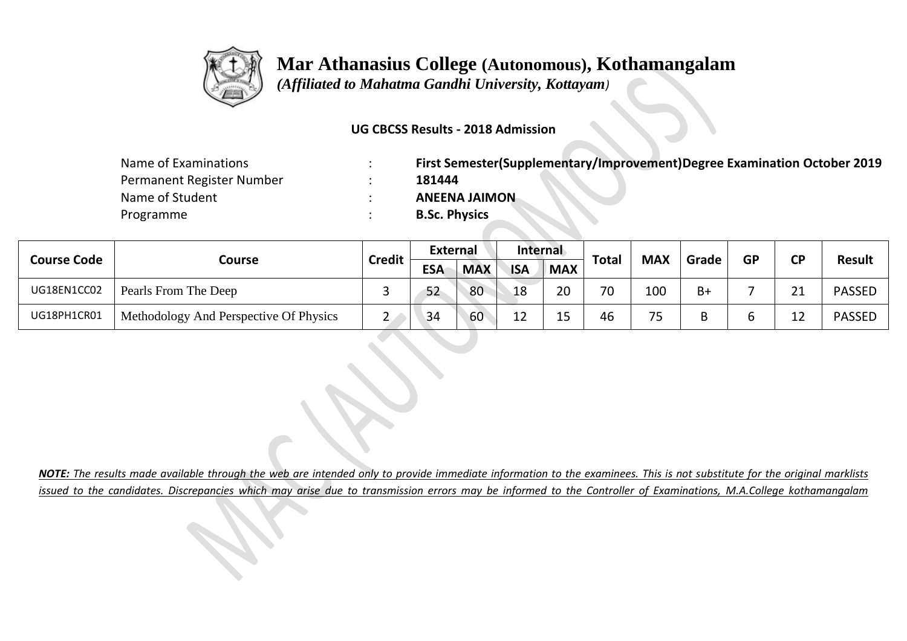

 *(Affiliated to Mahatma Gandhi University, Kottayam)*

#### **UG CBCSS Results - 2018 Admission**

| Name of Examinations      | First Semester(Supplementary/Improvement)Degree Examination October 2019 |
|---------------------------|--------------------------------------------------------------------------|
| Permanent Register Number | 181444                                                                   |
| Name of Student           | <b>ANEENA JAIMON</b>                                                     |
| Programme                 | <b>B.Sc. Physics</b>                                                     |

| <b>Course Code</b> |                                        | <b>Credit</b> | <b>External</b> |            | Internal   |            | <b>Total</b> | <b>MAX</b> |       | <b>GP</b> | ΓD  | <b>Result</b> |
|--------------------|----------------------------------------|---------------|-----------------|------------|------------|------------|--------------|------------|-------|-----------|-----|---------------|
|                    | Course                                 |               | <b>ESA</b>      | <b>MAX</b> | <b>ISA</b> | <b>MAX</b> |              |            | Grade |           |     |               |
| UG18EN1CC02        | Pearls From The Deep                   | ــ            | 52              | 80         | 18         | 20         | 70           | 100        | $B+$  |           | า 1 | <b>PASSED</b> |
| UG18PH1CR01        | Methodology And Perspective Of Physics | <u>_</u>      | 34              | 60         | ᅩ          | 1 E<br>ᅩ   | 46           | フロ         |       |           |     | <b>PASSED</b> |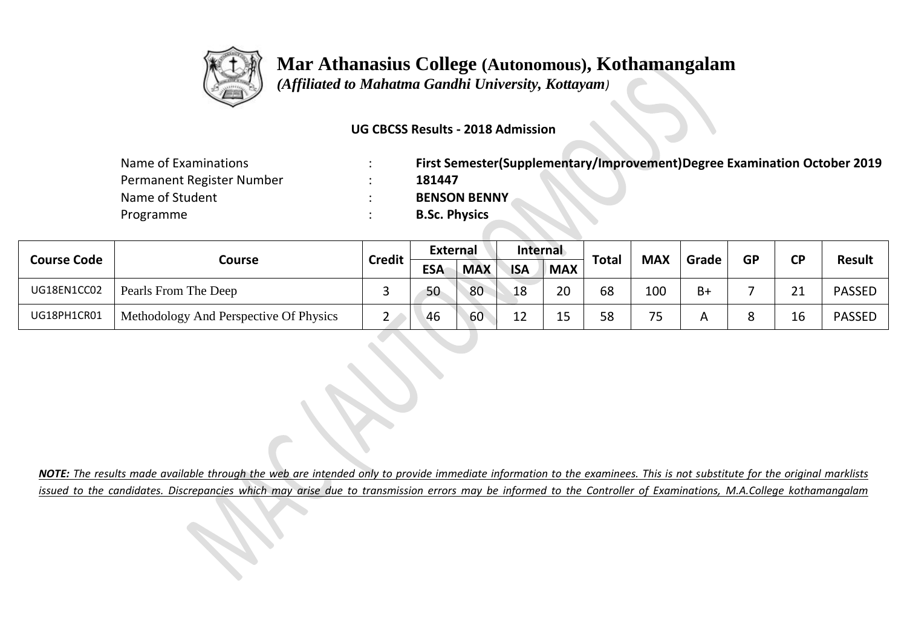

 *(Affiliated to Mahatma Gandhi University, Kottayam)*

#### **UG CBCSS Results - 2018 Admission**

| Name of Examinations      | First Semester(Supplementary/Improvement)Degree Examination October 2019 |
|---------------------------|--------------------------------------------------------------------------|
| Permanent Register Number | 181447                                                                   |
| Name of Student           | <b>BENSON BENNY</b>                                                      |
| Programme                 | <b>B.Sc. Physics</b>                                                     |

| <b>Course Code</b> |                                        | <b>Credit</b> | <b>External</b> |            | Internal   |            | <b>Total</b> | <b>MAX</b>     |       | <b>GP</b> | ΓD  | <b>Result</b> |
|--------------------|----------------------------------------|---------------|-----------------|------------|------------|------------|--------------|----------------|-------|-----------|-----|---------------|
|                    | Course                                 |               | <b>ESA</b>      | <b>MAX</b> | <b>ISA</b> | <b>MAX</b> |              |                | Grade |           |     |               |
| UG18EN1CC02        | Pearls From The Deep                   |               | 50              | 80         | 18         | 20         | 68           | 100            | $B+$  |           | ີ 1 | <b>PASSED</b> |
| UG18PH1CR01        | Methodology And Perspective Of Physics | ▃             | 46              | 60         | 1 า<br>ᅩ   | 15<br>ᅩ    | 58           | 7 <sub>5</sub> |       |           | 16  | <b>PASSED</b> |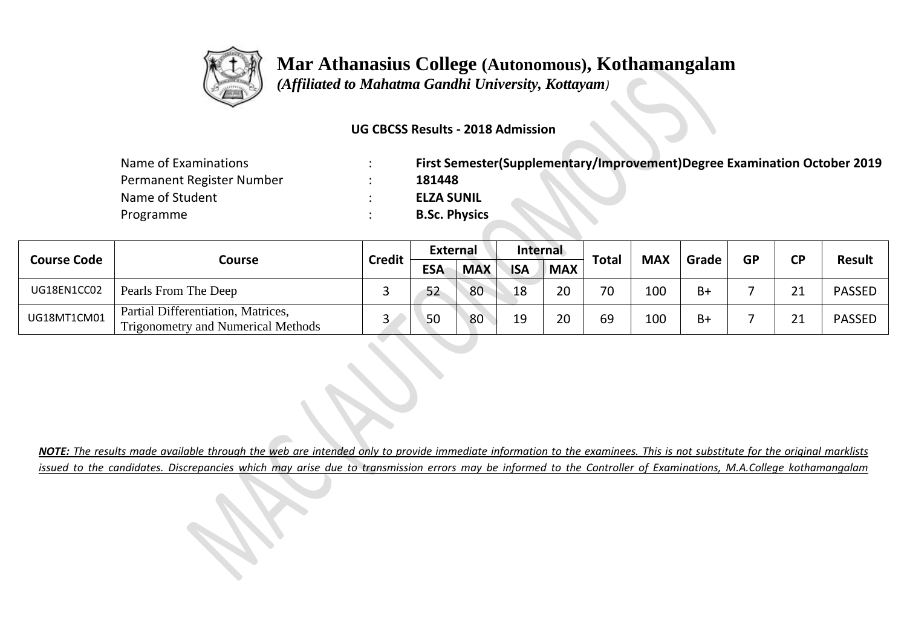

 *(Affiliated to Mahatma Gandhi University, Kottayam)*

#### **UG CBCSS Results - 2018 Admission**

| Name of Examinations      | First Semester(Supplementary/Improvement)Degree Examination October 2019 |
|---------------------------|--------------------------------------------------------------------------|
| Permanent Register Number | 181448                                                                   |
| Name of Student           | <b>ELZA SUNIL</b>                                                        |
| Programme                 | <b>B.Sc. Physics</b>                                                     |

|                    |                                                                                 | <b>Credit</b> | External   |            | Internal   |            | Total | <b>MAX</b> |       | GP | CD <sup>-</sup> |               |
|--------------------|---------------------------------------------------------------------------------|---------------|------------|------------|------------|------------|-------|------------|-------|----|-----------------|---------------|
| <b>Course Code</b> | Course                                                                          |               | <b>ESA</b> | <b>MAX</b> | <b>ISA</b> | <b>MAX</b> |       |            | Grade |    |                 | <b>Result</b> |
| UG18EN1CC02        | Pearls From The Deep                                                            |               | 52         | 80         | 18         | 20         | 70    | 100        | $B+$  |    | <b>O</b> 4      | <b>PASSED</b> |
| UG18MT1CM01        | Partial Differentiation, Matrices,<br><b>Trigonometry and Numerical Methods</b> |               | 50         | 80         | 19         | 20         | 69    | 100        | $B+$  |    | ີ               | <b>PASSED</b> |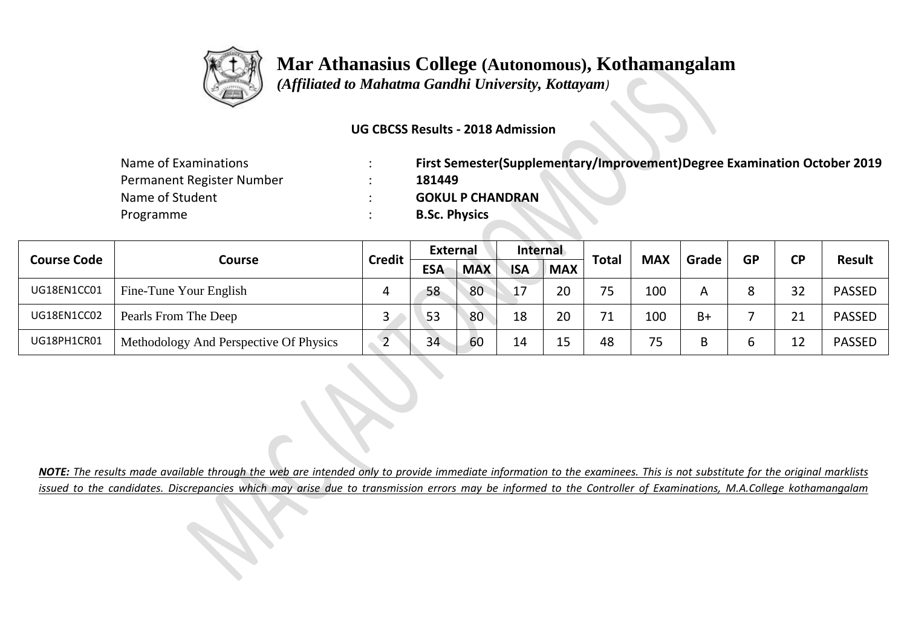

 *(Affiliated to Mahatma Gandhi University, Kottayam)*

#### **UG CBCSS Results - 2018 Admission**

| Name of Examinations      | First Semester(Supplementary/Improvement)Degree Examination October 2019 |
|---------------------------|--------------------------------------------------------------------------|
| Permanent Register Number | 181449                                                                   |
| Name of Student           | <b>GOKUL P CHANDRAN</b>                                                  |
| Programme                 | <b>B.Sc. Physics</b>                                                     |

| <b>Course Code</b> |                                        | <b>Credit</b> | External   |            | Internal   |            | <b>Total</b> | <b>MAX</b> | Grade |           | <b>CD</b> | <b>Result</b> |  |
|--------------------|----------------------------------------|---------------|------------|------------|------------|------------|--------------|------------|-------|-----------|-----------|---------------|--|
|                    | Course                                 |               | <b>ESA</b> | <b>MAX</b> | <b>ISA</b> | <b>MAX</b> |              |            |       | <b>GP</b> |           |               |  |
| UG18EN1CC01        | Fine-Tune Your English                 | 4             | 58         | 80         | 17         | 20         | 75           | 100        |       |           | 32        | <b>PASSED</b> |  |
| UG18EN1CC02        | Pearls From The Deep                   | ◡             | 53         | 80         | 18         | 20         | 71           | 100        | $B+$  |           |           | <b>PASSED</b> |  |
| UG18PH1CR01        | Methodology And Perspective Of Physics |               | 34         | 60         | 14         | 15         | 48           | 75         |       |           |           | <b>PASSED</b> |  |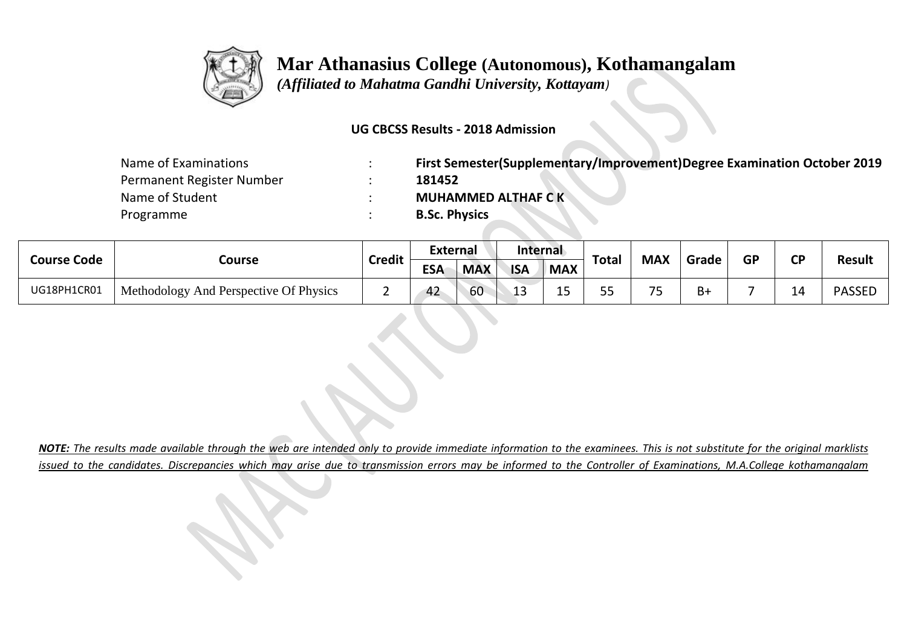

 *(Affiliated to Mahatma Gandhi University, Kottayam)*

#### **UG CBCSS Results - 2018 Admission**

| Name of Examinations      | First Semester(Supplementary/Improvement)Degree Examination October 2019 |
|---------------------------|--------------------------------------------------------------------------|
| Permanent Register Number | 181452                                                                   |
| Name of Student           | <b>MUHAMMED ALTHAF CK</b>                                                |
| Programme                 | <b>B.Sc. Physics</b>                                                     |

| <b>Course Code</b> |                                        | <b>Credit</b> | External   |            | Internal   |            | Total     | <b>MAX</b> | Grade | <b>GP</b> | <b>CD</b> | <b>Result</b> |
|--------------------|----------------------------------------|---------------|------------|------------|------------|------------|-----------|------------|-------|-----------|-----------|---------------|
|                    | Course                                 |               | <b>ESA</b> | <b>MAX</b> | <b>ISA</b> | <b>MAX</b> |           |            |       |           |           |               |
| UG18PH1CR01        | Methodology And Perspective Of Physics |               | 42         | 60         | --         | --         | --<br>J J | $\neg r$   | B+    |           | --        | <b>PASSED</b> |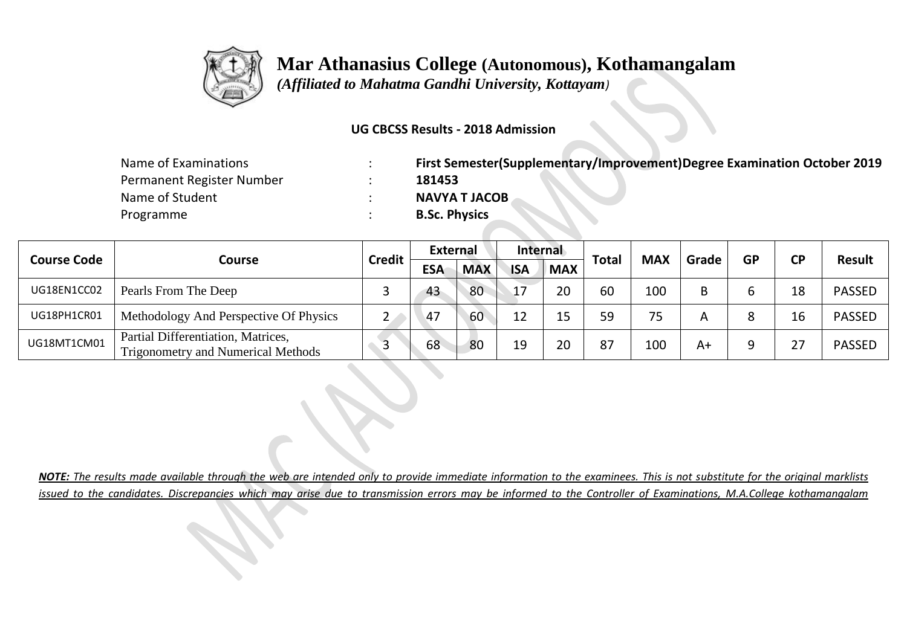

 *(Affiliated to Mahatma Gandhi University, Kottayam)*

#### **UG CBCSS Results - 2018 Admission**

| Name of Examinations      | First Semester(Supplementary/Improvement)Degree Examination October 2019 |
|---------------------------|--------------------------------------------------------------------------|
| Permanent Register Number | 181453                                                                   |
| Name of Student           | <b>NAVYA T JACOB</b>                                                     |
| Programme                 | <b>B.Sc. Physics</b>                                                     |

|                    |                                                                                 | <b>Credit</b> | External   |            | Internal   |            |              | <b>MAX</b> | Grade |           |           |               |
|--------------------|---------------------------------------------------------------------------------|---------------|------------|------------|------------|------------|--------------|------------|-------|-----------|-----------|---------------|
| <b>Course Code</b> | <b>Course</b>                                                                   |               | <b>ESA</b> | <b>MAX</b> | <b>ISA</b> | <b>MAX</b> | <b>Total</b> |            |       | <b>GP</b> | <b>CP</b> | <b>Result</b> |
| UG18EN1CC02        | Pearls From The Deep                                                            |               | 43         | 80         | 17         | 20         | 60           | 100        |       |           | 18        | <b>PASSED</b> |
| UG18PH1CR01        | Methodology And Perspective Of Physics                                          |               | $-47$      | 60         | 12         | 15         | 59           | 75         |       |           | 16        | <b>PASSED</b> |
| UG18MT1CM01        | Partial Differentiation, Matrices,<br><b>Trigonometry and Numerical Methods</b> |               | 68         | 80         | 19         | 20         | 87           | 100        | A+    |           |           | <b>PASSED</b> |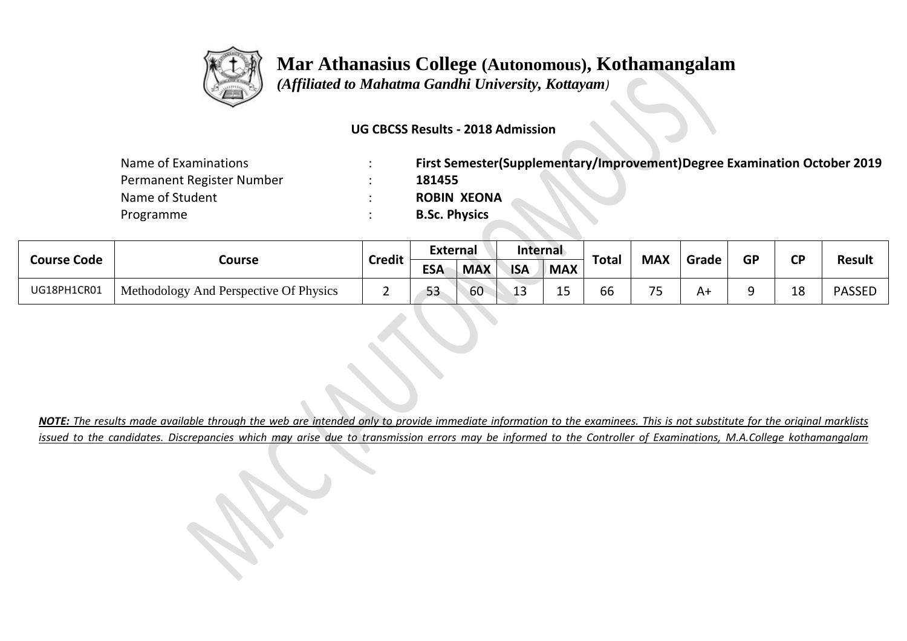

 *(Affiliated to Mahatma Gandhi University, Kottayam)*

#### **UG CBCSS Results - 2018 Admission**

| Name of Examinations      | First Semester(Supplementary/Improvement)Degree Examination October 2019 |
|---------------------------|--------------------------------------------------------------------------|
| Permanent Register Number | 181455                                                                   |
| Name of Student           | <b>ROBIN XEONA</b>                                                       |
| Programme                 | <b>B.Sc. Physics</b>                                                     |

| <b>Course Code</b> |                                        | <b>Credit</b> | <b>External</b> |            | Internal   |            | Total | <b>MAX</b>                    | Grade | <b>GP</b> | <b>CD</b> | <b>Result</b> |
|--------------------|----------------------------------------|---------------|-----------------|------------|------------|------------|-------|-------------------------------|-------|-----------|-----------|---------------|
|                    | Course                                 |               | <b>ESA</b>      | <b>MAX</b> | <b>ISA</b> | <b>MAX</b> |       |                               |       |           |           |               |
| UG18PH1CR01        | Methodology And Perspective Of Physics |               | 53              | 60         | ᅩ          | -<br>ᅩ     | 66    | $\overline{\phantom{a}}$<br>ັ | A٦    |           | 18        | <b>PASSED</b> |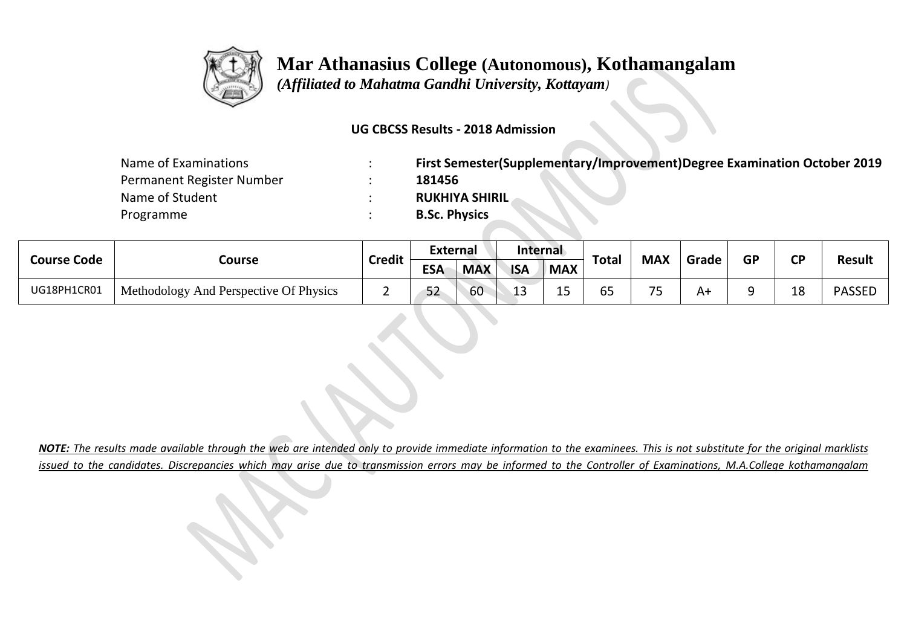

 *(Affiliated to Mahatma Gandhi University, Kottayam)*

#### **UG CBCSS Results - 2018 Admission**

| Name of Examinations      | First Semester(Supplementary/Improvement)Degree Examination October 2019 |
|---------------------------|--------------------------------------------------------------------------|
| Permanent Register Number | 181456                                                                   |
| Name of Student           | <b>RUKHIYA SHIRIL</b>                                                    |
| Programme                 | <b>B.Sc. Physics</b>                                                     |

| <b>Course Code</b> |                                        | <b>Credit</b> | <b>External</b> |            | Internal   |            |                                     | <b>MAX</b>                    | Grade | <b>GP</b> | σD | <b>Result</b> |
|--------------------|----------------------------------------|---------------|-----------------|------------|------------|------------|-------------------------------------|-------------------------------|-------|-----------|----|---------------|
|                    | Course                                 |               | <b>ESA</b>      | <b>MAX</b> | <b>ISA</b> | <b>MAX</b> | <b>Total</b>                        |                               |       |           |    |               |
| UG18PH1CR01        | Methodology And Perspective Of Physics |               | 52              | 60         |            | -<br>ᅩ     | $\overline{c}$ $\overline{c}$<br>לט | $\overline{\phantom{a}}$<br>ັ | A٦    |           | 18 | <b>PASSED</b> |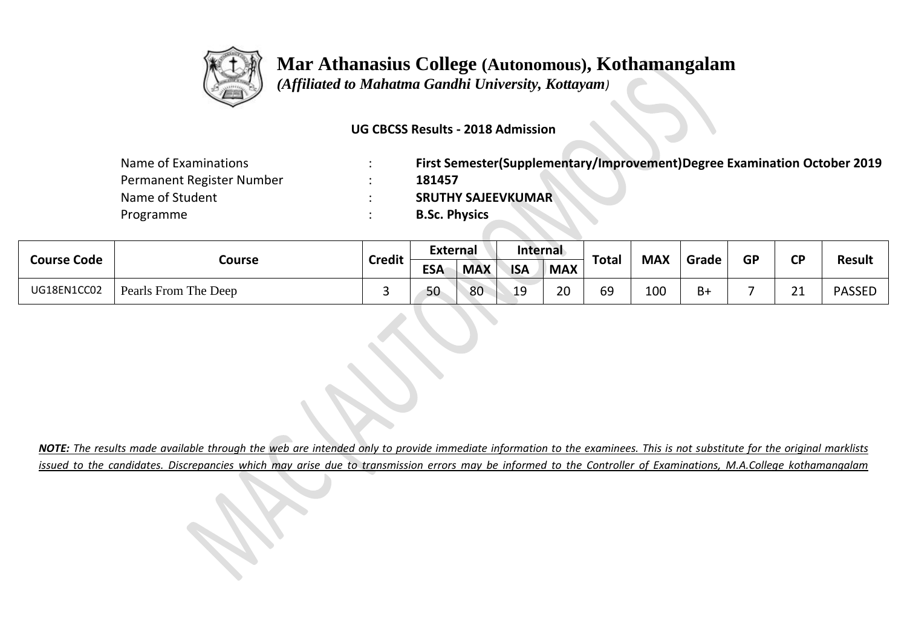

 *(Affiliated to Mahatma Gandhi University, Kottayam)*

#### **UG CBCSS Results - 2018 Admission**

| Name of Examinations      | First Semester(Supplementary/Improvement)Degree Examination October 2019 |
|---------------------------|--------------------------------------------------------------------------|
| Permanent Register Number | 181457                                                                   |
| Name of Student           | <b>SRUTHY SAJEEVKUMAR</b>                                                |
| Programme                 | <b>B.Sc. Physics</b>                                                     |

| <b>Course Code</b> |                      | <b>Credit</b> | <b>External</b> |            | Internal   |            | Total | <b>MAX</b> | Grade | <b>GP</b> | <b>CD</b> |               |
|--------------------|----------------------|---------------|-----------------|------------|------------|------------|-------|------------|-------|-----------|-----------|---------------|
|                    | Course               |               | <b>ESA</b>      | <b>MAX</b> | <b>ISA</b> | <b>MAX</b> |       |            |       |           |           | <b>Result</b> |
| UG18EN1CC02        | Pearls From The Deep |               | 50              | 80         | 19         | 20         | 69    | 100        | $B+$  |           | ີ 1       | <b>PASSED</b> |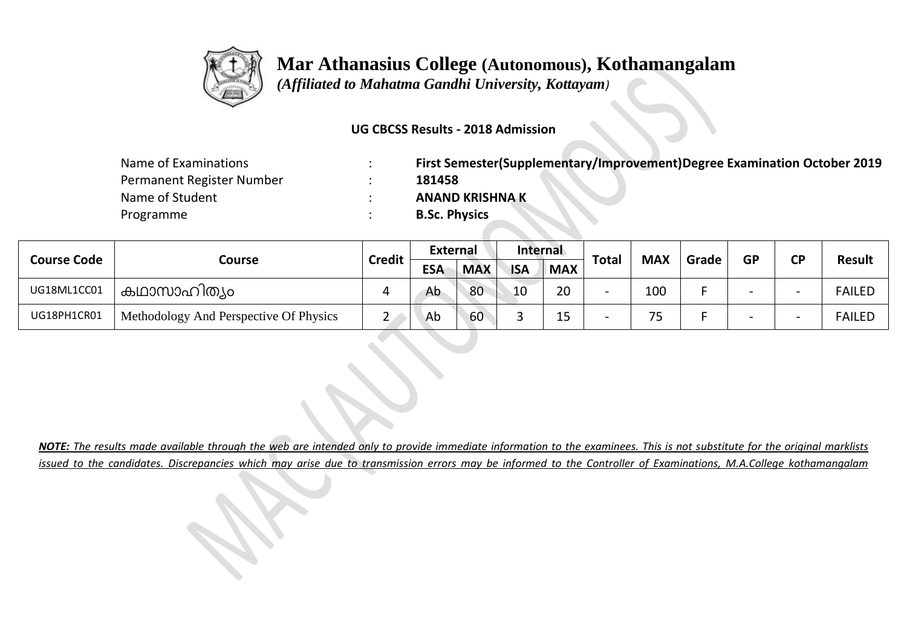

 *(Affiliated to Mahatma Gandhi University, Kottayam)*

#### **UG CBCSS Results - 2018 Admission**

| Name of Examinations      | First Semester(Supplementary/Improvement)Degree Examination October 2019 |
|---------------------------|--------------------------------------------------------------------------|
| Permanent Register Number | 181458                                                                   |
| Name of Student           | <b>ANAND KRISHNA K</b>                                                   |
| Programme                 | <b>B.Sc. Physics</b>                                                     |

| <b>Course Code</b> |                                        | <b>Credit</b> | <b>External</b> |            | Internal   |            | <b>Total</b>             | <b>MAX</b> |       | <b>GP</b> | ΓD | <b>Result</b> |
|--------------------|----------------------------------------|---------------|-----------------|------------|------------|------------|--------------------------|------------|-------|-----------|----|---------------|
|                    | Course                                 |               | <b>ESA</b>      | <b>MAX</b> | <b>ISA</b> | <b>MAX</b> |                          |            | Grade |           |    |               |
| UG18ML1CC01        | കഥാസാഹിത്യം                            |               | Ab              | 80         | 10         | 20         | $\overline{\phantom{0}}$ | 100        |       |           |    | <b>FAILED</b> |
| UG18PH1CR01        | Methodology And Perspective Of Physics | ∸             | Ab              | 60         |            | 1 E<br>ᅩ   | $\overline{\phantom{0}}$ | フロ         |       |           |    | <b>FAILED</b> |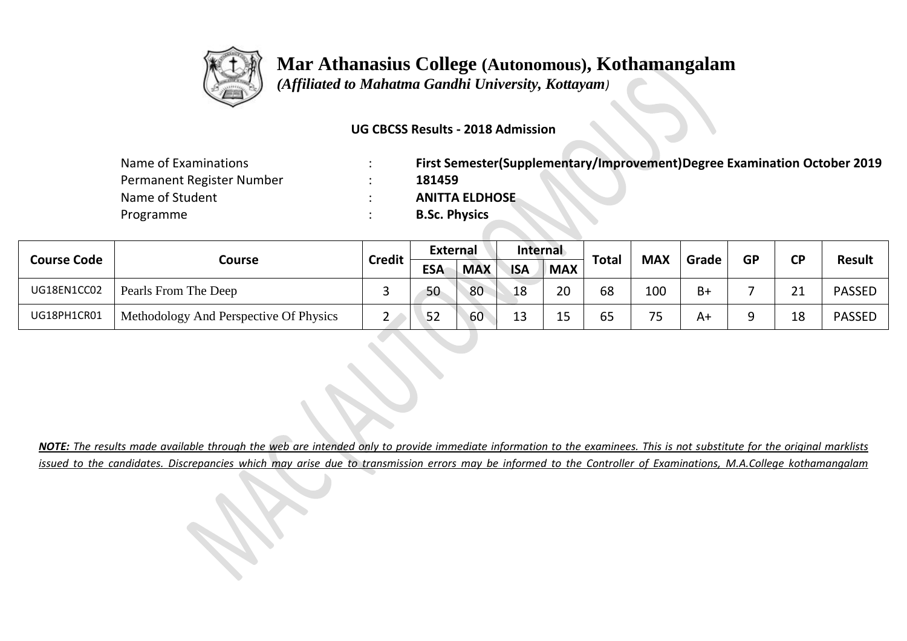

 *(Affiliated to Mahatma Gandhi University, Kottayam)*

#### **UG CBCSS Results - 2018 Admission**

| Name of Examinations      | First Semester(Supplementary/Improvement)Degree Examination October 2019 |
|---------------------------|--------------------------------------------------------------------------|
| Permanent Register Number | 181459                                                                   |
| Name of Student           | <b>ANITTA ELDHOSE</b>                                                    |
| Programme                 | <b>B.Sc. Physics</b>                                                     |

| <b>Course Code</b> |                                        | <b>Credit</b> | <b>External</b> |            | Internal   |            | <b>Total</b> | <b>MAX</b> | Grade | <b>GP</b> | ΓD                | <b>Result</b> |
|--------------------|----------------------------------------|---------------|-----------------|------------|------------|------------|--------------|------------|-------|-----------|-------------------|---------------|
|                    | Course                                 |               | <b>ESA</b>      | <b>MAX</b> | <b>ISA</b> | <b>MAX</b> |              |            |       |           |                   |               |
| UG18EN1CC02        | Pearls From The Deep                   | $\sim$        | 50              | 80         | 18         | 20         | 68           | 100        | $B+$  |           | $\mathbf{A}$<br>ᅀ | <b>PASSED</b> |
| UG18PH1CR01        | Methodology And Perspective Of Physics | <u>.</u>      | 52              | 60         | 13         | 1 E<br>ᅩ   | 65           | フロ<br>ັ    | A٩    |           | 18                | <b>PASSED</b> |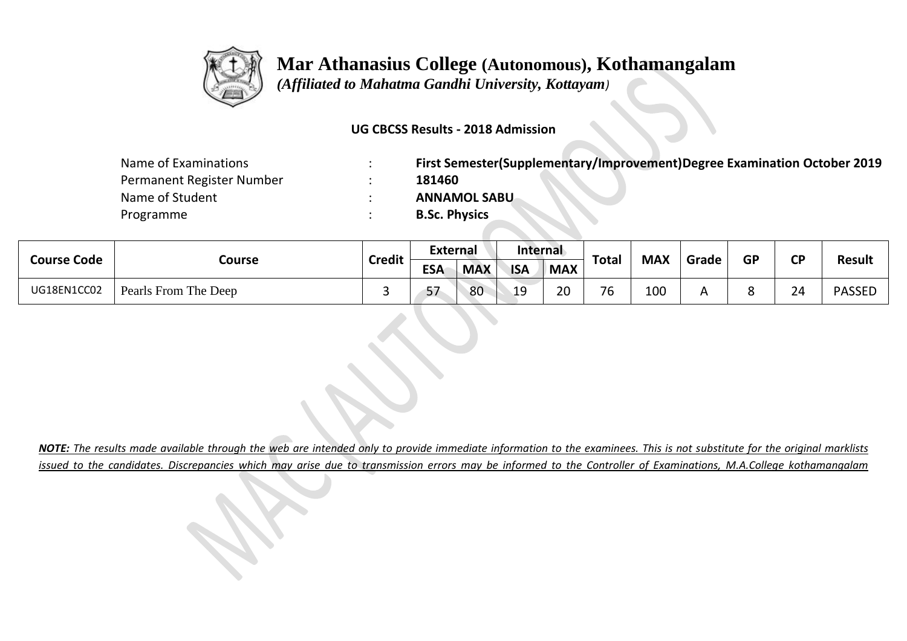

 *(Affiliated to Mahatma Gandhi University, Kottayam)*

#### **UG CBCSS Results - 2018 Admission**

| Name of Examinations      | First Semester(Supplementary/Improvement)Degree Examination October 2019 |
|---------------------------|--------------------------------------------------------------------------|
| Permanent Register Number | 181460                                                                   |
| Name of Student           | <b>ANNAMOL SABU</b>                                                      |
| Programme                 | <b>B.Sc. Physics</b>                                                     |

| <b>Course Code</b> | Course               | <b>Credit</b> | External   |            | Internal   |            | <b>Total</b> | <b>MAX</b> | Grade | <b>GP</b> | σD | <b>Result</b> |
|--------------------|----------------------|---------------|------------|------------|------------|------------|--------------|------------|-------|-----------|----|---------------|
|                    |                      |               | <b>ESA</b> | <b>MAX</b> | <b>ISA</b> | <b>MAX</b> |              |            |       |           |    |               |
| UG18EN1CC02        | Pearls From The Deep |               | 57         | 80         | 19         | ാറ<br>∠∪   | 76           | 100        |       |           | 24 | <b>PASSED</b> |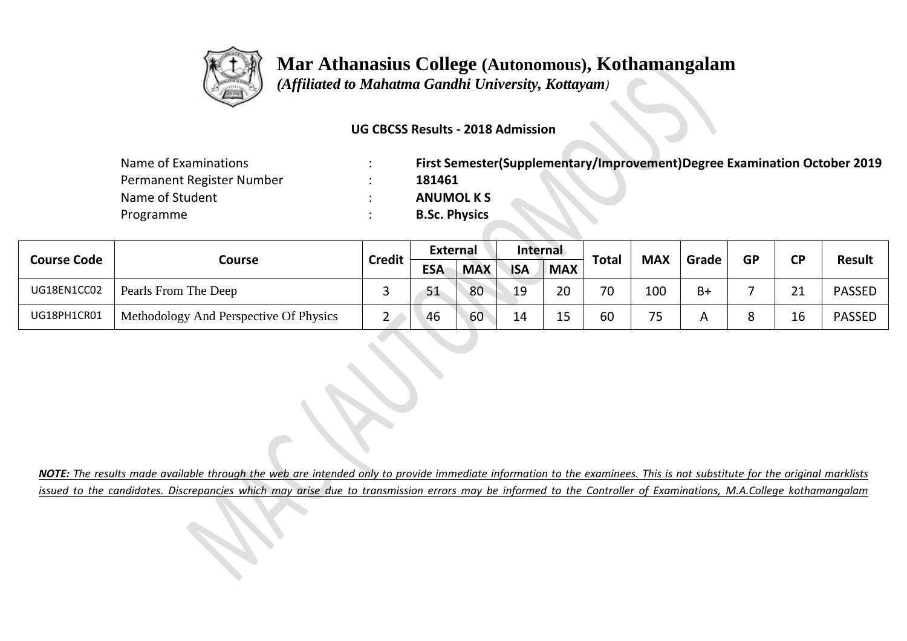

 *(Affiliated to Mahatma Gandhi University, Kottayam)*

#### **UG CBCSS Results - 2018 Admission**

| Name of Examinations      | First Semester(Supplementary/Improvement)Degree Examination October 2019 |
|---------------------------|--------------------------------------------------------------------------|
| Permanent Register Number | 181461                                                                   |
| Name of Student           | <b>ANUMOL K S</b>                                                        |
| Programme                 | <b>B.Sc. Physics</b>                                                     |

| <b>Course Code</b> |                                        | <b>Credit</b> | <b>External</b> |            | Internal   |                     | <b>Total</b> | <b>MAX</b> |       | <b>GP</b> | ΓD         | <b>Result</b> |
|--------------------|----------------------------------------|---------------|-----------------|------------|------------|---------------------|--------------|------------|-------|-----------|------------|---------------|
|                    | Course                                 |               | <b>ESA</b>      | <b>MAX</b> | <b>ISA</b> | <b>MAX</b>          |              |            | Grade |           |            |               |
| UG18EN1CC02        | Pearls From The Deep                   |               | 51              | 80         | 19         | 20                  | 70           | 100        | B+    |           | <b>O</b> 1 | <b>PASSED</b> |
| UG18PH1CR01        | Methodology And Perspective Of Physics | <u>_</u>      | -46             | 60         | 14         | 1 <sup>5</sup><br>ᅩ | 60           | フロ<br>ر .  |       |           |            | <b>PASSED</b> |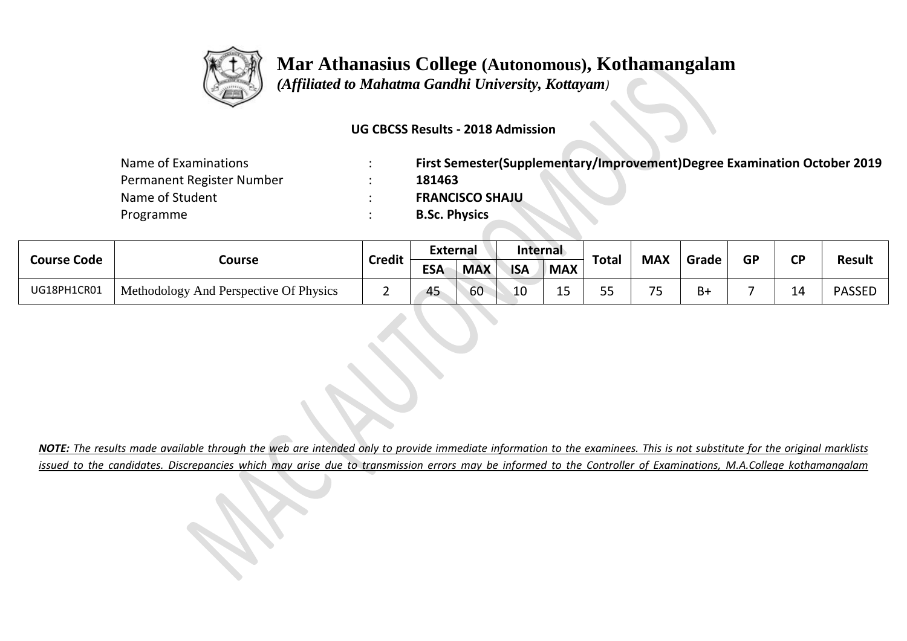

 *(Affiliated to Mahatma Gandhi University, Kottayam)*

#### **UG CBCSS Results - 2018 Admission**

| Name of Examinations      | First Semester(Supplementary/Improvement)Degree Examination October 2019 |
|---------------------------|--------------------------------------------------------------------------|
| Permanent Register Number | 181463                                                                   |
| Name of Student           | <b>FRANCISCO SHAJU</b>                                                   |
| Programme                 | <b>B.Sc. Physics</b>                                                     |

| <b>Course Code</b> |                                        | <b>Credit</b> | External   |            | Internal   |            |           | <b>MAX</b> | Grade | <b>GP</b> | σD |               |
|--------------------|----------------------------------------|---------------|------------|------------|------------|------------|-----------|------------|-------|-----------|----|---------------|
|                    | Course                                 |               | <b>ESA</b> | <b>MAX</b> | <b>ISA</b> | <b>MAX</b> | Total     |            |       |           |    | <b>Result</b> |
| UG18PH1CR01        | Methodology And Perspective Of Physics |               | 45         | 60         | 10         | --         | r r<br>-- | $\neg r$   | B+    |           | -- | <b>PASSED</b> |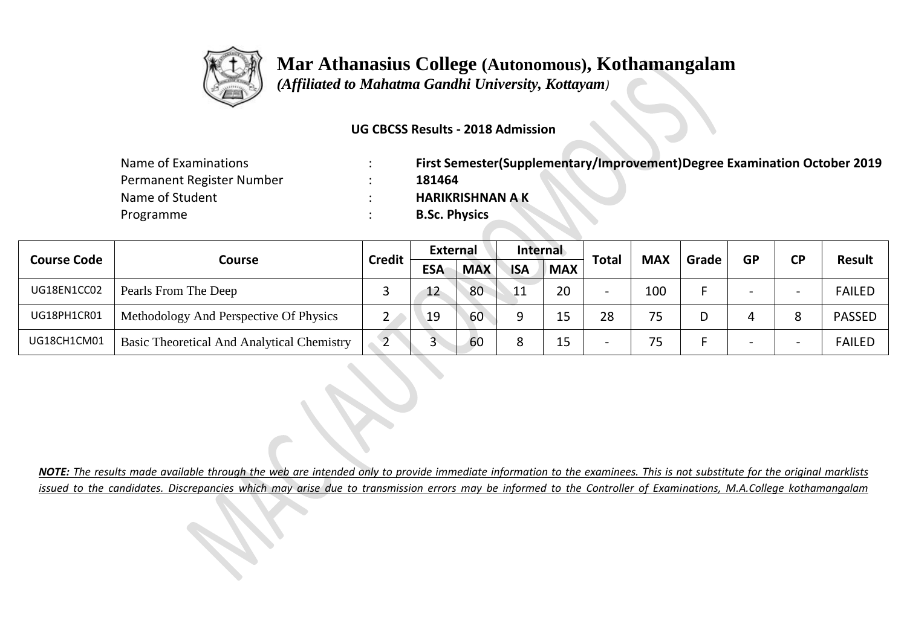

 *(Affiliated to Mahatma Gandhi University, Kottayam)*

#### **UG CBCSS Results - 2018 Admission**

| Name of Examinations      | First Semester(Supplementary/Improvement)Degree Examination October 2019 |
|---------------------------|--------------------------------------------------------------------------|
| Permanent Register Number | 181464                                                                   |
| Name of Student           | <b>HARIKRISHNAN A K</b>                                                  |
| Programme                 | <b>B.Sc. Physics</b>                                                     |

|                    |                                            | <b>Credit</b> | <b>External</b> |            | Internal        |            |                          | <b>MAX</b> | Grade | <b>GP</b> | <b>CD</b> | <b>Result</b> |
|--------------------|--------------------------------------------|---------------|-----------------|------------|-----------------|------------|--------------------------|------------|-------|-----------|-----------|---------------|
| <b>Course Code</b> | Course                                     |               | <b>ESA</b>      | <b>MAX</b> | <b>ISA</b>      | <b>MAX</b> | <b>Total</b>             |            |       |           |           |               |
| UG18EN1CC02        | Pearls From The Deep                       |               | 12              | 80         | $\overline{11}$ | 20         | $\overline{\phantom{0}}$ | 100        |       |           |           | <b>FAILED</b> |
| UG18PH1CR01        | Methodology And Perspective Of Physics     |               | 19              | 60         |                 | 15         | 28                       | 75         |       |           |           | <b>PASSED</b> |
| UG18CH1CM01        | Basic Theoretical And Analytical Chemistry | ▃             | ت               | 60         |                 | 15         | $\overline{\phantom{0}}$ | 75         |       |           |           | <b>FAILED</b> |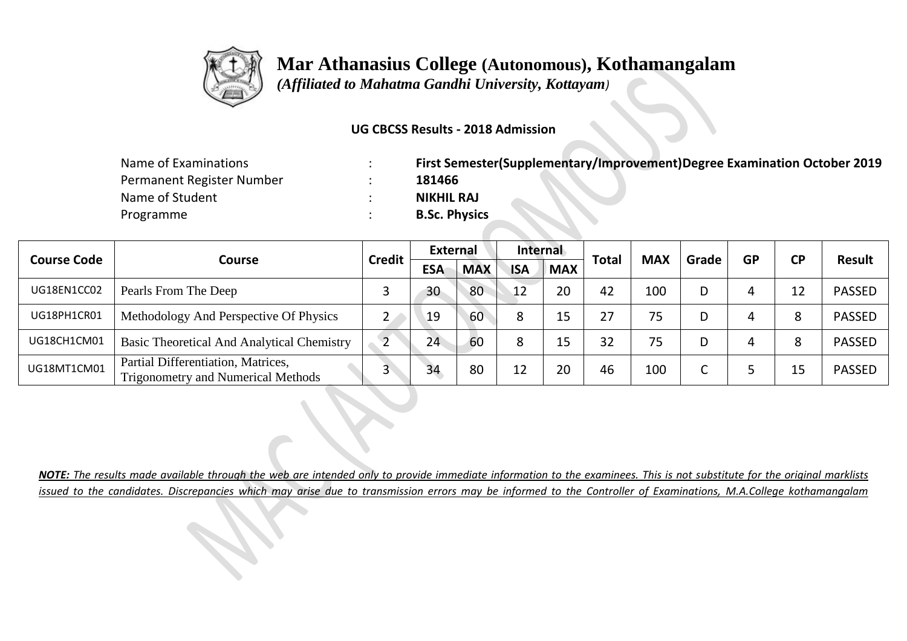

 *(Affiliated to Mahatma Gandhi University, Kottayam)*

#### **UG CBCSS Results - 2018 Admission**

| Name of Examinations      | First Semester(Supplementary/Improvement)Degree Examination October 2019 |
|---------------------------|--------------------------------------------------------------------------|
| Permanent Register Number | 181466                                                                   |
| Name of Student           | <b>NIKHIL RAJ</b>                                                        |
| Programme                 | <b>B.Sc. Physics</b>                                                     |

|                    |                                                                                 | <b>Credit</b> | External   |            | Internal   |            |              |            |       |           | <b>CP</b> | <b>Result</b> |
|--------------------|---------------------------------------------------------------------------------|---------------|------------|------------|------------|------------|--------------|------------|-------|-----------|-----------|---------------|
| <b>Course Code</b> | <b>Course</b>                                                                   |               | <b>ESA</b> | <b>MAX</b> | <b>ISA</b> | <b>MAX</b> | <b>Total</b> | <b>MAX</b> | Grade | <b>GP</b> |           |               |
| UG18EN1CC02        | Pearls From The Deep                                                            |               | 30         | 80         | 12         | 20         | 42           | 100        |       |           | 12        | <b>PASSED</b> |
| UG18PH1CR01        | Methodology And Perspective Of Physics                                          | 2             | 19         | 60         | $\circ$    | 15         | 27           | 75         |       |           |           | <b>PASSED</b> |
| UG18CH1CM01        | Basic Theoretical And Analytical Chemistry                                      |               | 24         | 60         | 8          | 15         | 32           | 75         |       |           |           | <b>PASSED</b> |
| UG18MT1CM01        | Partial Differentiation, Matrices,<br><b>Trigonometry and Numerical Methods</b> |               | 34         | 80         | 12         | 20         | 46           | 100        |       |           | 15        | <b>PASSED</b> |